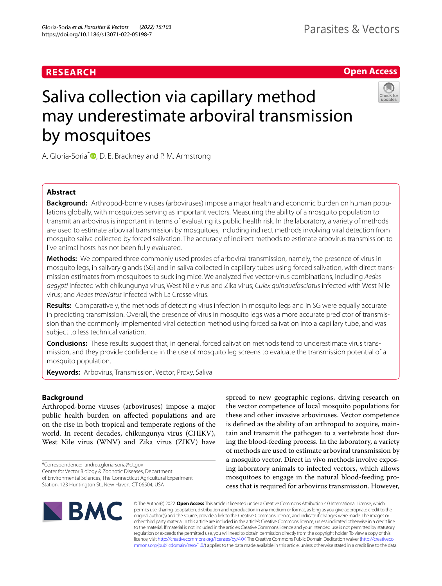# **RESEARCH**

# **Open Access**



# Saliva collection via capillary method may underestimate arboviral transmission by mosquitoes

A. Gloria-Soria<sup>[\\*](http://orcid.org/0000-0002-5401-3988)</sup> **D**, D. E. Brackney and P. M. Armstrong

# **Abstract**

**Background:** Arthropod-borne viruses (arboviruses) impose a major health and economic burden on human populations globally, with mosquitoes serving as important vectors. Measuring the ability of a mosquito population to transmit an arbovirus is important in terms of evaluating its public health risk. In the laboratory, a variety of methods are used to estimate arboviral transmission by mosquitoes, including indirect methods involving viral detection from mosquito saliva collected by forced salivation. The accuracy of indirect methods to estimate arbovirus transmission to live animal hosts has not been fully evaluated.

**Methods:** We compared three commonly used proxies of arboviral transmission, namely, the presence of virus in mosquito legs, in salivary glands (SG) and in saliva collected in capillary tubes using forced salivation, with direct trans‑ mission estimates from mosquitoes to suckling mice. We analyzed fve vector-virus combinations, including *Aedes aegypti* infected with chikungunya virus, West Nile virus and Zika virus; *Culex quinquefasciatus* infected with West Nile virus; and *Aedes triseriatus* infected with La Crosse virus.

**Results:** Comparatively, the methods of detecting virus infection in mosquito legs and in SG were equally accurate in predicting transmission. Overall, the presence of virus in mosquito legs was a more accurate predictor of transmission than the commonly implemented viral detection method using forced salivation into a capillary tube, and was subject to less technical variation.

**Conclusions:** These results suggest that, in general, forced salivation methods tend to underestimate virus trans‑ mission, and they provide confdence in the use of mosquito leg screens to evaluate the transmission potential of a mosquito population.

**Keywords:** Arbovirus, Transmission, Vector, Proxy, Saliva

# **Background**

Arthropod-borne viruses (arboviruses) impose a major public health burden on afected populations and are on the rise in both tropical and temperate regions of the world. In recent decades, chikungunya virus (CHIKV), West Nile virus (WNV) and Zika virus (ZIKV) have

\*Correspondence: andrea.gloria-soria@ct.gov

Center for Vector Biology & Zoonotic Diseases, Department of Environmental Sciences, The Connecticut Agricultural Experiment Station, 123 Huntington St., New Haven, CT 06504, USA

the vector competence of local mosquito populations for these and other invasive arboviruses. Vector competence is defned as the ability of an arthropod to acquire, maintain and transmit the pathogen to a vertebrate host during the blood-feeding process. In the laboratory, a variety of methods are used to estimate arboviral transmission by a mosquito vector. Direct in vivo methods involve exposing laboratory animals to infected vectors, which allows mosquitoes to engage in the natural blood-feeding process that is required for arbovirus transmission. However,

spread to new geographic regions, driving research on



© The Author(s) 2022. **Open Access** This article is licensed under a Creative Commons Attribution 4.0 International License, which permits use, sharing, adaptation, distribution and reproduction in any medium or format, as long as you give appropriate credit to the original author(s) and the source, provide a link to the Creative Commons licence, and indicate if changes were made. The images or other third party material in this article are included in the article's Creative Commons licence, unless indicated otherwise in a credit line to the material. If material is not included in the article's Creative Commons licence and your intended use is not permitted by statutory regulation or exceeds the permitted use, you will need to obtain permission directly from the copyright holder. To view a copy of this licence, visit [http://creativecommons.org/licenses/by/4.0/.](http://creativecommons.org/licenses/by/4.0/) The Creative Commons Public Domain Dedication waiver ([http://creativeco](http://creativecommons.org/publicdomain/zero/1.0/) [mmons.org/publicdomain/zero/1.0/](http://creativecommons.org/publicdomain/zero/1.0/)) applies to the data made available in this article, unless otherwise stated in a credit line to the data.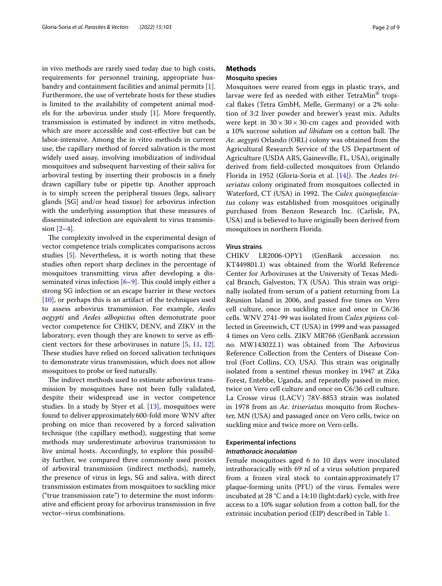in vivo methods are rarely used today due to high costs, requirements for personnel training, appropriate husbandry and containment facilities and animal permits [\[1](#page-7-0)]. Furthermore, the use of vertebrate hosts for these studies is limited to the availability of competent animal models for the arbovirus under study [[1\]](#page-7-0). More frequently, transmission is estimated by indirect in vitro methods, which are more accessible and cost-efective but can be labor-intensive. Among the in vitro methods in current use, the capillary method of forced salivation is the most widely used assay, involving imobilization of individual mosquitoes and subsequent harvesting of their saliva for arboviral testing by inserting their proboscis in a fnely drawn capillary tube or pipette tip. Another approach is to simply screen the peripheral tissues (legs, salivary glands [SG] and/or head tissue) for arbovirus infection with the underlying assumption that these measures of disseminated infection are equivalent to virus transmission  $[2-4]$  $[2-4]$ .

The complexity involved in the experimental design of vector competence trials complicates comparisons across studies [[5\]](#page-7-3). Nevertheless, it is worth noting that these studies often report sharp declines in the percentage of mosquitoes transmitting virus after developing a disseminated virus infection  $[6-9]$  $[6-9]$ . This could imply either a strong SG infection or an escape barrier in these vectors [[10\]](#page-7-6), or perhaps this is an artifact of the techniques used to assess arbovirus transmission. For example, *Aedes aegypti* and *Aedes albopictus* often demonstrate poor vector competence for CHIKV, DENV, and ZIKV in the laboratory, even though they are known to serve as efficient vectors for these arboviruses in nature [\[5,](#page-7-3) [11,](#page-7-7) [12](#page-7-8)]. These studies have relied on forced salivation techniques to demonstrate virus transmission, which does not allow mosquitoes to probe or feed naturally.

The indirect methods used to estimate arbovirus transmission by mosquitoes have not been fully validated, despite their widespread use in vector competence studies. In a study by Styer et al. [[13](#page-7-9)], mosquitoes were found to deliver approximately600-fold more WNV after probing on mice than recovered by a forced salivation technique (the capillary method), suggesting that some methods may underestimate arbovirus transmission to live animal hosts. Accordingly, to explore this possibility further, we compared three commonly used proxies of arboviral transmission (indirect methods), namely, the presence of virus in legs, SG and saliva, with direct transmission estimates from mosquitoes to suckling mice ("true transmission rate") to determine the most informative and efficient proxy for arbovirus transmission in five vector–virus combinations.

# **Methods**

# **Mosquito species**

Mosquitoes were reared from eggs in plastic trays, and larvae were fed as needed with either TetraMin® tropical fakes (Tetra GmbH, Melle, Germany) or a 2% solution of 3:2 liver powder and brewer's yeast mix. Adults were kept in  $30 \times 30 \times 30$ -cm cages and provided with a 10% sucrose solution *ad libidum* on a cotton ball. The *Ae. aegypti* Orlando (ORL) colony was obtained from the Agricultural Research Service of the US Department of Agriculture (USDA ARS, Gainesville, FL, USA), originally derived from feld-collected mosquitoes from Orlando Florida in 1952 (Gloria-Soria et al. [[14\]](#page-7-10)). The *Aedes triseriatus* colony originated from mosquitoes collected in Waterford, CT (USA) in 1992. The Culex quinquefascia*tus* colony was established from mosquitoes originally purchased from Benzon Research Inc. (Carlisle, PA, USA) and is believed to have originally been derived from mosquitoes in northern Florida.

## **Virus strains**

CHIKV LR2006-OPY1 (GenBank accession no. KT449801.1) was obtained from the World Reference Center for Arboviruses at the University of Texas Medical Branch, Galveston, TX (USA). This strain was originally isolated from serum of a patient returning from La Réunion Island in 2006, and passed fve times on Vero cell culture, once in suckling mice and once in C6/36 cells. WNV 2741-99 was isolated from *Culex pipiens* collected in Greenwich, CT (USA) in 1999 and was passaged 4 times on Vero cells. ZIKV MR766 (GenBank accession no. MW143022.1) was obtained from The Arbovirus Reference Collection from the Centers of Disease Control (Fort Collins, CO, USA). This strain was originally isolated from a sentinel rhesus monkey in 1947 at Zika Forest, Entebbe, Uganda, and repeatedly passed in mice, twice on Vero cell culture and once on C6/36 cell culture. La Crosse virus (LACV) 78V-8853 strain was isolated in 1978 from an *Ae. triseriatus* mosquito from Rochester, MN (USA) and passaged once on Vero cells, twice on suckling mice and twice more on Vero cells.

## **Experimental infections**

## *Intrathoracic inoculation*

Female mosquitoes aged 6 to 10 days were inoculated intrathoracically with 69 nl of a virus solution prepared from a frozen viral stock to containapproximately17 plaque-forming units (PFU) of the virus. Females were incubated at 28 °C and a 14:10 (light:dark) cycle, with free access to a 10% sugar solution from a cotton ball, for the extrinsic incubation period (EIP) described in Table [1.](#page-2-0)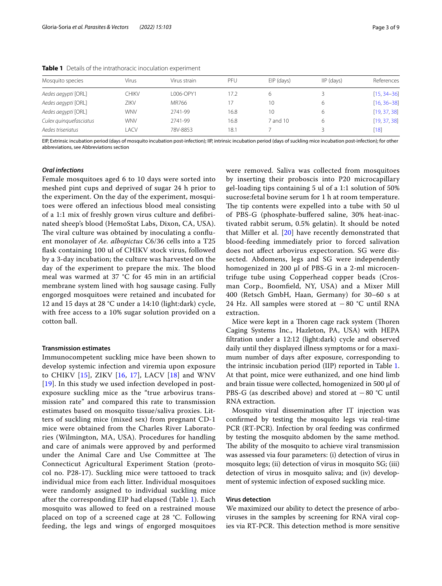| Mosquito species       | Virus      | Virus strain | PFU  | EIP (days) | $IP$ (days) | References      |
|------------------------|------------|--------------|------|------------|-------------|-----------------|
| Aedes aegypti [ORL]    | CHIKV      | L006-OPY1    | 17.2 | 6          |             | $[15, 34 - 36]$ |
| Aedes aegypti [ORL]    | ZIKV       | MR766        |      | 10         |             | $[16, 36 - 38]$ |
| Aedes aegypti [ORL]    | <b>WNV</b> | 2741-99      | 16.8 | 10         |             | [19, 37, 38]    |
| Culex quinquefasciatus | <b>WNV</b> | 2741-99      | 16.8 | 7 and 10   |             | [19, 37, 38]    |
| Aedes triseriatus      | <b>ACV</b> | 78V-8853     | 18.1 |            |             | [18]            |
|                        |            |              |      |            |             |                 |

<span id="page-2-0"></span>**Table 1** Details of the intrathoracic inoculation experiment

EIP, Extrinsic incubation period (days of mosquito incubation post-infection); IIP, intrinsic incubation period (days of suckling mice incubation post-infection); for other abbreviations, see Abbreviations section

# *Oral infections*

Female mosquitoes aged 6 to 10 days were sorted into meshed pint cups and deprived of sugar 24 h prior to the experiment. On the day of the experiment, mosquitoes were ofered an infectious blood meal consisting of a 1:1 mix of freshly grown virus culture and defbrinated sheep's blood (HemoStat Labs, Dixon, CA, USA). The viral culture was obtained by inoculating a confluent monolayer of *Ae. albopictus* C6/36 cells into a T25 fask containing 100 ul of CHIKV stock virus, followed by a 3-day incubation; the culture was harvested on the day of the experiment to prepare the mix. The blood meal was warmed at 37 °C for 45 min in an artifcial membrane system lined with hog sausage casing. Fully engorged mosquitoes were retained and incubated for 12 and 15 days at 28 °C under a 14:10 (light:dark) cycle, with free access to a 10% sugar solution provided on a cotton ball.

#### **Transmission estimates**

Immunocompetent suckling mice have been shown to develop systemic infection and viremia upon exposure to CHIKV [\[15](#page-7-11)], ZIKV [[16,](#page-7-12) [17](#page-7-13)], LACV [[18](#page-7-14)] and WNV [[19](#page-7-15)]. In this study we used infection developed in postexposure suckling mice as the "true arbovirus transmission rate" and compared this rate to transmission estimates based on mosquito tissue/saliva proxies. Litters of suckling mice (mixed sex) from pregnant CD-1 mice were obtained from the Charles River Laboratories (Wilmington, MA, USA). Procedures for handling and care of animals were approved by and performed under the Animal Care and Use Committee at The Connecticut Agricultural Experiment Station (protocol no. P28-17). Suckling mice were tattooed to track individual mice from each litter. Individual mosquitoes were randomly assigned to individual suckling mice after the corresponding EIP had elapsed (Table [1\)](#page-2-0). Each mosquito was allowed to feed on a restrained mouse placed on top of a screened cage at 28 °C. Following feeding, the legs and wings of engorged mosquitoes were removed. Saliva was collected from mosquitoes by inserting their proboscis into P20 microcapillary gel-loading tips containing 5 ul of a 1:1 solution of 50% sucrose:fetal bovine serum for 1 h at room temperature. The tip contents were expelled into a tube with 50 ul of PBS-G (phosphate-bufered saline, 30% heat-inactivated rabbit serum, 0.5% gelatin). It should be noted that Miller et al. [[20\]](#page-7-16) have recently demonstrated that blood-feeding immediately prior to forced salivation does not afect arbovirus expectoration. SG were dissected. Abdomens, legs and SG were independently homogenized in 200  $\mu$ l of PBS-G in a 2-ml microcentrifuge tube using Copperhead copper beads (Crosman Corp., Boomfeld, NY, USA) and a Mixer Mill 400 (Retsch GmbH, Haan, Germany) for 30–60 s at 24 Hz. All samples were stored at −80 °C until RNA extraction.

Mice were kept in a Thoren cage rack system (Thoren Caging Systems Inc., Hazleton, PA, USA) with HEPA fltration under a 12:12 (light:dark) cycle and observed daily until they displayed illness symptoms or for a maximum number of days after exposure, corresponding to the intrinsic incubation period (IIP) reported in Table [1](#page-2-0). At that point, mice were euthanized, and one hind limb and brain tissue were collected, homogenized in 500 µl of PBS-G (as described above) and stored at −80 °C until RNA extraction.

Mosquito viral dissemination after IT injection was confrmed by testing the mosquito legs via real-time PCR (RT-PCR). Infection by oral feeding was confrmed by testing the mosquito abdomen by the same method. The ability of the mosquito to achieve viral transmission was assessed via four parameters: (i) detection of virus in mosquito legs; (ii) detection of virus in mosquito SG; (iii) detection of virus in mosquito saliva; and (iv) development of systemic infection of exposed suckling mice.

## **Virus detection**

We maximized our ability to detect the presence of arboviruses in the samples by screening for RNA viral copies via RT-PCR. This detection method is more sensitive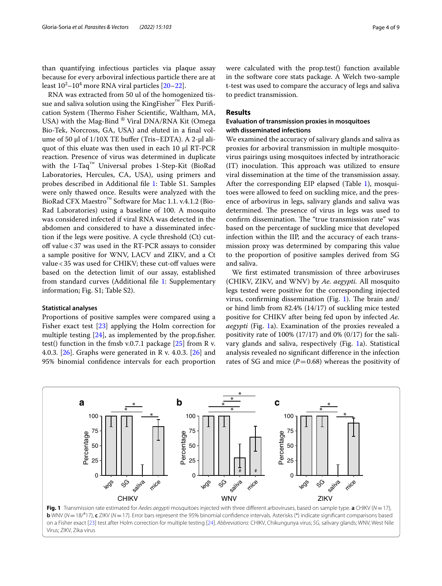than quantifying infectious particles via plaque assay because for every arboviral infectious particle there are at least  $10^2$ – $10^4$  more RNA viral particles [[20–](#page-7-16)[22\]](#page-7-17).

RNA was extracted from 50 ul of the homogenized tissue and saliva solution using the KingFisher™ Flex Purification System (Thermo Fisher Scientific, Waltham, MA, USA) with the Mag-Bind ® Viral DNA/RNA Kit (Omega Bio-Tek, Norcross, GA, USA) and eluted in a fnal volume of 50 µl of 1/10X TE bufer (Tris–EDTA). A 2-μl aliquot of this eluate was then used in each 10 µl RT-PCR reaction. Presence of virus was determined in duplicate with the I-Taq™ Universal probes 1-Step-Kit (BioRad Laboratories, Hercules, CA, USA), using primers and probes described in Additional fle [1:](#page-7-18) Table S1. Samples were only thawed once. Results were analyzed with the BioRad CFX Maestro™ Software for Mac 1.1. v.4.1.2 (Bio-Rad Laboratories) using a baseline of 100. A mosquito was considered infected if viral RNA was detected in the abdomen and considered to have a disseminated infection if the legs were positive. A cycle threshold (Ct) cutoff value < 37 was used in the RT-PCR assays to consider a sample positive for WNV, LACV and ZIKV, and a Ct value < 35 was used for CHIKV; these cut-off values were based on the detection limit of our assay, established from standard curves (Additional fle [1](#page-7-18): Supplementary information; Fig. S1; Table S2).

## **Statistical analyses**

Proportions of positive samples were compared using a Fisher exact test [[23](#page-7-19)] applying the Holm correction for multiple testing [\[24\]](#page-7-20), as implemented by the prop.fsher. test() function in the fmsb v.0.7.1 package  $[25]$  from R v. 4.0.3. [\[26](#page-8-4)]. Graphs were generated in R v. 4.0.3. [\[26](#page-8-4)] and 95% binomial confdence intervals for each proportion were calculated with the prop.test() function available in the software core stats package. A Welch two-sample t-test was used to compare the accuracy of legs and saliva to predict transmission.

# **Results**

# **Evaluation of transmission proxies in mosquitoes with disseminated infections**

We examined the accuracy of salivary glands and saliva as proxies for arboviral transmission in multiple mosquitovirus pairings using mosquitoes infected by intrathoracic (IT) inoculation. This approach was utilized to ensure viral dissemination at the time of the transmission assay. After the corresponding EIP elapsed (Table [1\)](#page-2-0), mosquitoes were allowed to feed on suckling mice, and the presence of arbovirus in legs, salivary glands and saliva was determined. The presence of virus in legs was used to confirm dissemination. The "true transmission rate" was based on the percentage of suckling mice that developed infection within the IIP, and the accuracy of each transmission proxy was determined by comparing this value to the proportion of positive samples derived from SG and saliva.

We frst estimated transmission of three arboviruses (CHIKV, ZIKV, and WNV) by *Ae. aegypti.* All mosquito legs tested were positive for the corresponding injected virus, confirming dissemination (Fig. [1\)](#page-3-0). The brain and/ or hind limb from 82.4% (14/17) of suckling mice tested positive for CHIKV after being fed upon by infected *Ae. aegypti* (Fig. [1a](#page-3-0)). Examination of the proxies revealed a positivity rate of 100% (17/17) and 0% (0/17) for the salivary glands and saliva, respectively (Fig. [1a](#page-3-0)). Statistical analysis revealed no signifcant diference in the infection rates of SG and mice  $(P=0.68)$  whereas the positivity of



<span id="page-3-0"></span>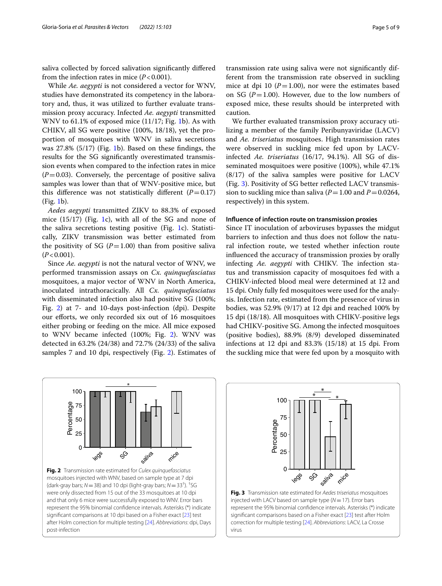saliva collected by forced salivation signifcantly difered from the infection rates in mice  $(P<0.001)$ .

While *Ae. aegypti* is not considered a vector for WNV, studies have demonstrated its competency in the laboratory and, thus, it was utilized to further evaluate transmission proxy accuracy. Infected *Ae. aegypti* transmitted WNV to 61.1% of exposed mice (11/17; Fig. [1](#page-3-0)b). As with CHIKV, all SG were positive (100%, 18/18), yet the proportion of mosquitoes with WNV in saliva secretions was 27.8% (5/17) (Fig. [1b](#page-3-0)). Based on these fndings, the results for the SG signifcantly overestimated transmission events when compared to the infection rates in mice  $(P=0.03)$ . Conversely, the percentage of positive saliva samples was lower than that of WNV-positive mice, but this difference was not statistically different  $(P=0.17)$ (Fig. [1b](#page-3-0)).

*Aedes aegypti* transmitted ZIKV to 88.3% of exposed mice  $(15/17)$  (Fig. [1c](#page-3-0)), with all of the SG and none of the saliva secretions testing positive (Fig. [1](#page-3-0)c). Statistically, ZIKV transmission was better estimated from the positivity of SG  $(P=1.00)$  than from positive saliva  $(P<0.001)$ .

Since *Ae. aegypti* is not the natural vector of WNV, we performed transmission assays on *Cx. quinquefasciatus* mosquitoes, a major vector of WNV in North America, inoculated intrathoracically. All *Cx. quinquefasciatus* with disseminated infection also had positive SG (100%; Fig. [2](#page-4-0)) at 7- and 10-days post-infection (dpi). Despite our efforts, we only recorded six out of 16 mosquitoes either probing or feeding on the mice. All mice exposed to WNV became infected (100%; Fig. [2](#page-4-0)). WNV was detected in 63.2% (24/38) and 72.7% (24/33) of the saliva samples 7 and 10 dpi, respectively (Fig. [2\)](#page-4-0). Estimates of

transmission rate using saliva were not signifcantly different from the transmission rate observed in suckling mice at dpi 10  $(P=1.00)$ , nor were the estimates based on SG  $(P=1.00)$ . However, due to the low numbers of exposed mice, these results should be interpreted with caution.

We further evaluated transmission proxy accuracy utilizing a member of the family Peribunyaviridae (LACV) and *Ae. triseriatus* mosquitoes. High transmission rates were observed in suckling mice fed upon by LACVinfected *Ae. triseriatus* (16/17, 94.1%). All SG of disseminated mosquitoes were positive (100%), while 47.1% (8/17) of the saliva samples were positive for LACV (Fig. [3](#page-4-1)). Positivity of SG better refected LACV transmission to suckling mice than saliva  $(P=1.00$  and  $P=0.0264$ , respectively) in this system.

## **Infuence of infection route on transmission proxies**

Since IT inoculation of arboviruses bypasses the midgut barriers to infection and thus does not follow the natural infection route, we tested whether infection route infuenced the accuracy of transmission proxies by orally infecting *Ae. aegypti* with CHIKV. The infection status and transmission capacity of mosquitoes fed with a CHIKV-infected blood meal were determined at 12 and 15 dpi. Only fully fed mosquitoes were used for the analysis. Infection rate, estimated from the presence of virus in bodies, was 52.9% (9/17) at 12 dpi and reached 100% by 15 dpi (18/18). All mosquitoes with CHIKV-positive legs had CHIKV-positive SG. Among the infected mosquitoes (positive bodies), 88.9% (8/9) developed disseminated infections at 12 dpi and 83.3% (15/18) at 15 dpi. From the suckling mice that were fed upon by a mosquito with

<span id="page-4-0"></span>



<span id="page-4-1"></span>injected with LACV based on sample type (*N*=17). Error bars represent the 95% binomial confdence intervals. Asterisks (\*) indicate signifcant comparisons based on a Fisher exact [\[23](#page-7-19)] test after Holm correction for multiple testing [\[24](#page-7-20)]. *Abbreviations*: LACV, La Crosse virus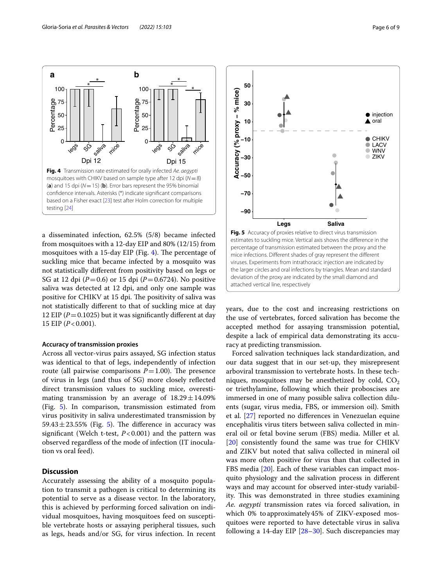

<span id="page-5-0"></span>a disseminated infection, 62.5% (5/8) became infected from mosquitoes with a 12-day EIP and 80% (12/15) from mosquitoes with a 15-day EIP (Fig. [4\)](#page-5-0). The percentage of suckling mice that became infected by a mosquito was not statistically diferent from positivity based on legs or SG at 12 dpi (*P*=0.6) or 15 dpi (*P*=0.6724). No positive saliva was detected at 12 dpi, and only one sample was positive for CHIKV at 15 dpi. The positivity of saliva was not statistically diferent to that of suckling mice at day 12 EIP ( $P = 0.1025$ ) but it was significantly different at day 15 EIP (*P*<0.001).

## **Accuracy of transmission proxies**

Across all vector-virus pairs assayed, SG infection status was identical to that of legs, independently of infection route (all pairwise comparisons  $P=1.00$ ). The presence of virus in legs (and thus of SG) more closely refected direct transmission values to suckling mice, overestimating transmission by an average of  $18.29 \pm 14.09\%$ (Fig. [5](#page-5-1)). In comparison, transmission estimated from virus positivity in saliva underestimated transmission by 59.43 $\pm$ 23.55% (Fig. [5\)](#page-5-1). The difference in accuracy was signifcant (Welch t-test, *P*<0.001) and the pattern was observed regardless of the mode of infection (IT inoculation vs oral feed).

# **Discussion**

Accurately assessing the ability of a mosquito population to transmit a pathogen is critical to determining its potential to serve as a disease vector. In the laboratory, this is achieved by performing forced salivation on individual mosquitoes, having mosquitoes feed on susceptible vertebrate hosts or assaying peripheral tissues, such as legs, heads and/or SG, for virus infection. In recent



<span id="page-5-1"></span>years, due to the cost and increasing restrictions on the use of vertebrates, forced salivation has become the accepted method for assaying transmission potential, despite a lack of empirical data demonstrating its accuracy at predicting transmission.

Forced salivation techniques lack standardization, and our data suggest that in our set-up, they misrepresent arboviral transmission to vertebrate hosts. In these techniques, mosquitoes may be anesthetized by cold,  $CO<sub>2</sub>$ or triethylamine, following which their proboscises are immersed in one of many possible saliva collection diluents (sugar, virus media, FBS, or immersion oil). Smith et al. [[27\]](#page-8-5) reported no diferences in Venezuelan equine encephalitis virus titers between saliva collected in mineral oil or fetal bovine serum (FBS) media. Miller et al. [[20\]](#page-7-16) consistently found the same was true for CHIKV and ZIKV but noted that saliva collected in mineral oil was more often positive for virus than that collected in FBS media [[20\]](#page-7-16). Each of these variables can impact mosquito physiology and the salivation process in diferent ways and may account for observed inter-study variability. This was demonstrated in three studies examining *Ae. aegypti* transmission rates via forced salivation, in which 0% toapproximately45% of ZIKV-exposed mosquitoes were reported to have detectable virus in saliva following a 14-day EIP  $[28-30]$  $[28-30]$  $[28-30]$ . Such discrepancies may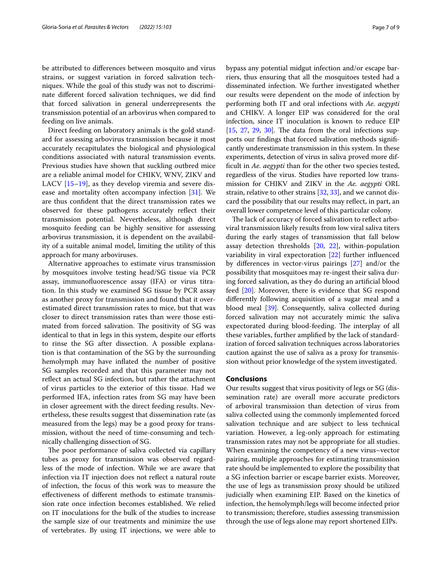be attributed to diferences between mosquito and virus strains, or suggest variation in forced salivation techniques. While the goal of this study was not to discriminate diferent forced salivation techniques, we did fnd that forced salivation in general underrepresents the transmission potential of an arbovirus when compared to feeding on live animals.

Direct feeding on laboratory animals is the gold standard for assessing arbovirus transmission because it most accurately recapitulates the biological and physiological conditions associated with natural transmission events. Previous studies have shown that suckling outbred mice are a reliable animal model for CHIKV, WNV, ZIKV and LACV [[15–](#page-7-11)[19\]](#page-7-15), as they develop viremia and severe disease and mortality often accompany infection [[31\]](#page-8-8). We are thus confdent that the direct transmission rates we observed for these pathogens accurately refect their transmission potential. Nevertheless, although direct mosquito feeding can be highly sensitive for assessing arbovirus transmission, it is dependent on the availability of a suitable animal model, limiting the utility of this approach for many arboviruses.

Alternative approaches to estimate virus transmission by mosquitoes involve testing head/SG tissue via PCR assay, immunofuorescence assay (IFA) or virus titration. In this study we examined SG tissue by PCR assay as another proxy for transmission and found that it overestimated direct transmission rates to mice, but that was closer to direct transmission rates than were those estimated from forced salivation. The positivity of SG was identical to that in legs in this system, despite our efforts to rinse the SG after dissection. A possible explanation is that contamination of the SG by the surrounding hemolymph may have infated the number of positive SG samples recorded and that this parameter may not refect an actual SG infection, but rather the attachment of virus particles to the exterior of this tissue. Had we performed IFA, infection rates from SG may have been in closer agreement with the direct feeding results. Nevertheless, these results suggest that dissemination rate (as measured from the legs) may be a good proxy for transmission, without the need of time-consuming and technically challenging dissection of SG.

The poor performance of saliva collected via capillary tubes as proxy for transmission was observed regardless of the mode of infection. While we are aware that infection via IT injection does not refect a natural route of infection, the focus of this work was to measure the efectiveness of diferent methods to estimate transmission rate once infection becomes established. We relied on IT inoculations for the bulk of the studies to increase the sample size of our treatments and minimize the use of vertebrates. By using IT injections, we were able to bypass any potential midgut infection and/or escape barriers, thus ensuring that all the mosquitoes tested had a

disseminated infection. We further investigated whether our results were dependent on the mode of infection by performing both IT and oral infections with *Ae. aegypti* and CHIKV. A longer EIP was considered for the oral infection, since IT inoculation is known to reduce EIP  $[15, 27, 29, 30]$  $[15, 27, 29, 30]$  $[15, 27, 29, 30]$  $[15, 27, 29, 30]$  $[15, 27, 29, 30]$  $[15, 27, 29, 30]$  $[15, 27, 29, 30]$  $[15, 27, 29, 30]$ . The data from the oral infections supports our fndings that forced salivation methods signifcantly underestimate transmission in this system. In these experiments, detection of virus in saliva proved more diffcult in *Ae. aegypti* than for the other two species tested, regardless of the virus. Studies have reported low transmission for CHIKV and ZIKV in the *Ae. aegypti* ORL strain, relative to other strains [[32](#page-8-10), [33\]](#page-8-11), and we cannot discard the possibility that our results may refect, in part, an overall lower competence level of this particular colony.

The lack of accuracy of forced salivation to reflect arboviral transmission likely results from low viral saliva titers during the early stages of transmission that fall below assay detection thresholds [\[20,](#page-7-16) [22](#page-7-17)], within-population variability in viral expectoration [\[22\]](#page-7-17) further infuenced by diferences in vector-virus pairings [[27](#page-8-5)] and/or the possibility that mosquitoes may re-ingest their saliva during forced salivation, as they do during an artifcial blood feed [\[20\]](#page-7-16). Moreover, there is evidence that SG respond diferently following acquisition of a sugar meal and a blood meal [\[39](#page-8-12)]. Consequently, saliva collected during forced salivation may not accurately mimic the saliva expectorated during blood-feeding. The interplay of all these variables, further amplifed by the lack of standardization of forced salivation techniques across laboratories caution against the use of saliva as a proxy for transmission without prior knowledge of the system investigated.

# **Conclusions**

Our results suggest that virus positivity of legs or SG (dissemination rate) are overall more accurate predictors of arboviral transmission than detection of virus from saliva collected using the commonly implemented forced salivation technique and are subject to less technical variation. However, a leg-only approach for estimating transmission rates may not be appropriate for all studies. When examining the competency of a new virus–vector pairing, multiple approaches for estimating transmission rate should be implemented to explore the possibility that a SG infection barrier or escape barrier exists. Moreover, the use of legs as transmission proxy should be utilized judicially when examining EIP. Based on the kinetics of infection, the hemolymph/legs will become infected prior to transmission; therefore, studies assessing transmission through the use of legs alone may report shortened EIPs.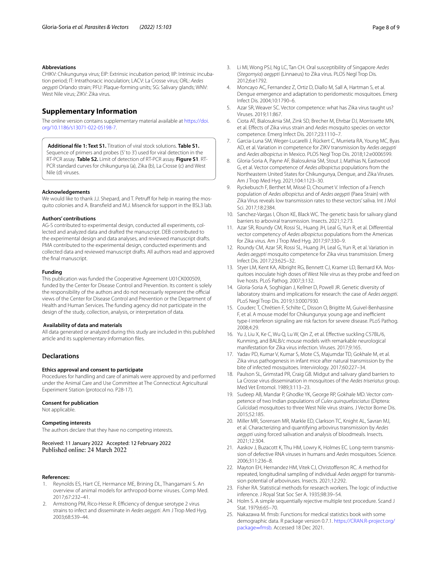## **Abbreviations**

CHIKV: Chikungunya virus; EIP: Extrinsic incubation period; IIP: Intrinsic incuba‑ tion period; IT: Intrathoracic inoculation; LACV: La Crosse virus; ORL: *Aedes aegypti* Orlando strain; PFU: Plaque-forming units; SG: Salivary glands; WNV: West Nile virus; ZIKV: Zika virus.

## **Supplementary Information**

The online version contains supplementary material available at [https://doi.](https://doi.org/10.1186/s13071-022-05198-7) [org/10.1186/s13071-022-05198-7](https://doi.org/10.1186/s13071-022-05198-7).

<span id="page-7-18"></span>**Additional fle 1: Text S1.** Titration of viral stock solutions. **Table S1.** Sequence of primers and probes (5' to 3') used for viral detection in the RT-PCR assay. **Table S2.** Limit of detection of RT-PCR assay. **Figure S1**. RT-PCR standard curves for chikungunya (a), Zika (b), La Crosse (c) and West Nile (d) viruses.

#### **Acknowledgements**

We would like to thank J.J. Shepard, and T. Petruff for help in rearing the mosquito colonies and A. Bransfeld and M.J. Misencik for support in the BSL3 lab.

## **Authors' contributions**

AG-S contributed to experimental design, conducted all experiments, collected and analyzed data and drafted the manuscript. DEB contributed to the experimental design and data analyses, and reviewed manuscript drafts. PMA contributed to the experimental design, conducted experiments and collected data and reviewed manuscript drafts. All authors read and approved the fnal manuscript.

## **Funding**

This publication was funded the Cooperative Agreement U01CK000509, funded by the Center for Disease Control and Prevention. Its content is solely the responsibility of the authors and do not necessarily represent the official views of the Center for Disease Control and Prevention or the Department of Health and Human Services. The funding agency did not participate in the design of the study, collection, analysis, or interpretation of data.

#### **Availability of data and materials**

All data generated or analyzed during this study are included in this published article and its supplementary information fles.

## **Declarations**

## **Ethics approval and consent to participate**

Procedures for handling and care of animals were approved by and performed under the Animal Care and Use Committee at The Connecticut Agricultural Experiment Station (protocol no. P28-17).

#### **Consent for publication**

Not applicable.

## **Competing interests**

The authors declare that they have no competing interests.

Received: 11 January 2022 Accepted: 12 February 2022

#### **References:**

- <span id="page-7-0"></span>1. Reynolds ES, Hart CE, Hermance ME, Brining DL, Thangamani S. An overview of animal models for arthropod-borne viruses. Comp Med. 2017;67:232–41.
- <span id="page-7-1"></span>2. Armstrong PM, Rico-Hesse R. Efficiency of dengue serotype 2 virus strains to infect and disseminate in *Aedes aegypti*. Am J Trop Med Hyg. 2003;68:539–44.
- 3. Li MI, Wong PSJ, Ng LC, Tan CH. Oral susceptibility of Singapore *Aedes* (*Stegomyia*) *aegypti* (Linnaeus) to Zika virus. PLOS Negl Trop Dis. 2012;6:e1792.
- <span id="page-7-2"></span>4. Moncayo AC, Fernandez Z, Ortiz D, Diallo M, Sall A, Hartman S, et al. Dengue emergence and adaptation to peridomestic mosquitoes. Emerg Infect Dis. 2004;10:1790–6.
- <span id="page-7-3"></span>5. Azar SR, Weaver SC. Vector competence: what has Zika virus taught us? Viruses. 2019;11:867.
- <span id="page-7-4"></span>6. Ciota AT, Bialosuknia SM, Zink SD, Brecher M, Ehrbar DJ, Morrissette MN, et al. Efects of Zika virus strain and *Aedes* mosquito species on vector competence. Emerg Infect Dis. 2017;23:1110–7.
- 7. Garcia-Luna SM, Weger-Lucarelli J, Rückert C, Murrieta RA, Young MC, Byas AD, et al. Variation in competence for ZIKV transmission by *Aedes aegypti* and *Aedes albopictus* in Mexico. PLOS Negl Trop Dis. 2018;12:e0006599.
- 8. Gloria-Soria A, Payne AF, Bialosuknia SM, Stout J, Mathias N, Eastwood G, et al. Vector competence of *Aedes albopictus* populations from the Northeastern United States for Chikungunya, Dengue, and Zika Viruses. Am J Trop Med Hyg. 2021;104:1123–30.
- <span id="page-7-5"></span>Ryckebusch F, Berthet M, Missé D, Choumet V. Infection of a French population of *Aedes albopictus* and of *Aedes aegypti* (Paea Strain) with Zika Virus reveals low transmission rates to these vectors' saliva. Int J Mol Sci. 2017;18:2384.
- <span id="page-7-6"></span>10. Sanchez-Vargas I, Olson KE, Black WC. The genetic basis for salivary gland barriers to arboviral transmission. Insects. 2021;12:73.
- <span id="page-7-7"></span>11. Azar SR, Roundy CM, Rossi SL, Huang JH, Leal G, Yun R, et al. Diferential vector competency of *Aedes albopictus* populations from the Americas for Zika virus. Am J Trop Med Hyg. 2017;97:330–9.
- <span id="page-7-8"></span>12. Roundy CM, Azar SR, Rossi SL, Huang JH, Leal G, Yun R, et al. Variation in *Aedes aegypti* mosquito competence for Zika virus transmission. Emerg Infect Dis. 2017;23:625–32.
- <span id="page-7-9"></span>13. Styer LM, Kent KA, Albright RG, Bennett CJ, Kramer LD, Bernard KA. Mosquitoes inoculate high doses of West Nile virus as they probe and feed on live hosts. PLoS Pathog. 2007;3:132.
- <span id="page-7-10"></span>14. Gloria-Soria A, Soghigian J, Kellner D, Powell JR. Genetic diversity of laboratory strains and implications for research: the case of *Aedes aegypti*. PLoS Negl Trop Dis. 2019;13:0007930.
- <span id="page-7-11"></span>15. Couderc T, Chrétien F, Schilte C, Disson O, Brigitte M, Guivel-Benhassine F, et al. A mouse model for Chikungunya: young age and inefficient type-I interferon signaling are risk factors for severe disease. PLoS Pathog. 2008;4:29.
- <span id="page-7-12"></span>16. Yu J, Liu X, Ke C, Wu Q, Lu W, Qin Z, et al. Efective suckling C57BL/6, Kunming, and BALB/c mouse models with remarkable neurological manifestation for Zika virus infection. Viruses. 2017;9:165.
- <span id="page-7-13"></span>17. Yadav PD, Kumar V, Kumar S, Mote CS, Majumdar TD, Gokhale M, et al. Zika virus pathogenesis in infant mice after natural transmission by the bite of infected mosquitoes. Intervirology. 2017;60:227–34.
- <span id="page-7-14"></span>18. Paulson SL, Grimstad PR, Craig GB. Midgut and salivary gland barriers to La Crosse virus dissemination in mosquitoes of the *Aedes triseriatus* group. Med Vet Entomol. 1989;3:113–23.
- <span id="page-7-15"></span>19. Sudeep AB, Mandar P, Ghodke YK, George RP, Gokhale MD. Vector competence of two Indian populations of *Culex quinquefasciatus* (Diptera: *Culicidae*) mosquitoes to three West Nile virus strains. J Vector Borne Dis. 2015;52:185.
- <span id="page-7-16"></span>20. Miller MR, Sorensen MR, Markle ED, Clarkson TC, Knight AL, Savran MJ, et al. Characterizing and quantifying arbovirus transmission by *Aedes aegypti* using forced salivation and analysis of bloodmeals. Insects. 2021;12:304.
- 21. Aaskov J, Buzacott K, Thu HM, Lowry K, Holmes EC. Long-term transmission of defective RNA viruses in humans and *Aedes* mosquitoes. Science. 2006;311:236–8.
- <span id="page-7-17"></span>22. Mayton EH, Hernandez HM, Vitek CJ, Christoferson RC. A method for repeated, longitudinal sampling of individual *Aedes aegypti* for transmis‑ sion potential of arboviruses. Insects. 2021;12:292.
- <span id="page-7-19"></span>23. Fisher RA. Statistical methods for research workers. The logic of inductive inference. J Royal Stat Soc Ser A. 1935;98:39–54.
- <span id="page-7-20"></span>24. Holm S. A simple sequentially rejective multiple test procedure. Scand J Stat. 1979;6:65–70.
- <span id="page-7-21"></span>25. Nakazawa M. fmsb: Functions for medical statistics book with some demographic data. R package version 0.7.1. [https://CRAN.R-project.org/](https://CRAN.R-project.org/package=fmsb) [package](https://CRAN.R-project.org/package=fmsb)=fmsb. Accessed 18 Dec 2021.